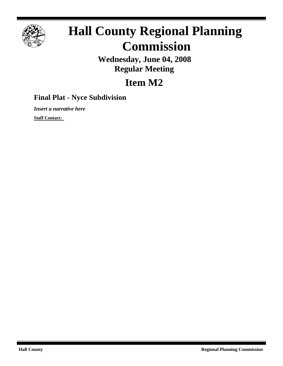

## **Hall County Regional Planning Commission**

**Wednesday, June 04, 2008 Regular Meeting**

## **Item M2**

## **Final Plat - Nyce Subdivision**

*Insert a narrative here*

**Staff Contact:**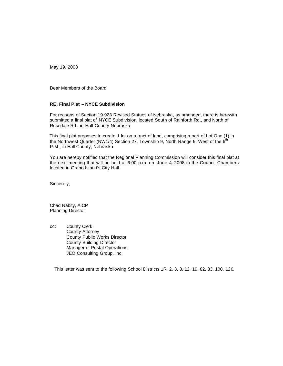May 19, 2008

Dear Members of the Board:

## **RE: Final Plat – NYCE Subdivision**

For reasons of Section 19-923 Revised Statues of Nebraska, as amended, there is herewith submitted a final plat of NYCE Subdivision, located South of Rainforth Rd., and North of Rosedale Rd., in Hall County Nebraska.

 This final plat proposes to create 1 lot on a tract of land, comprising a part of Lot One (1) in the Northwest Quarter (NW1/4) Section 27, Township 9, North Range 9, West of the  $6<sup>th</sup>$ . P.M., in Hall County, Nebraska.

You are hereby notified that the Regional Planning Commission will consider this final plat at the next meeting that will be held at 6:00 p.m. on June 4, 2008 in the Council Chambers located in Grand Island's City Hall.

Sincerely,

Chad Nabity, AICP Planning Director

cc: County Clerk County Attorney County Public Works Director County Building Director Manager of Postal Operations JEO Consulting Group, Inc.

This letter was sent to the following School Districts 1R, 2, 3, 8, 12, 19, 82, 83, 100, 126.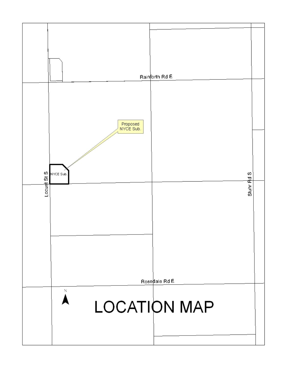